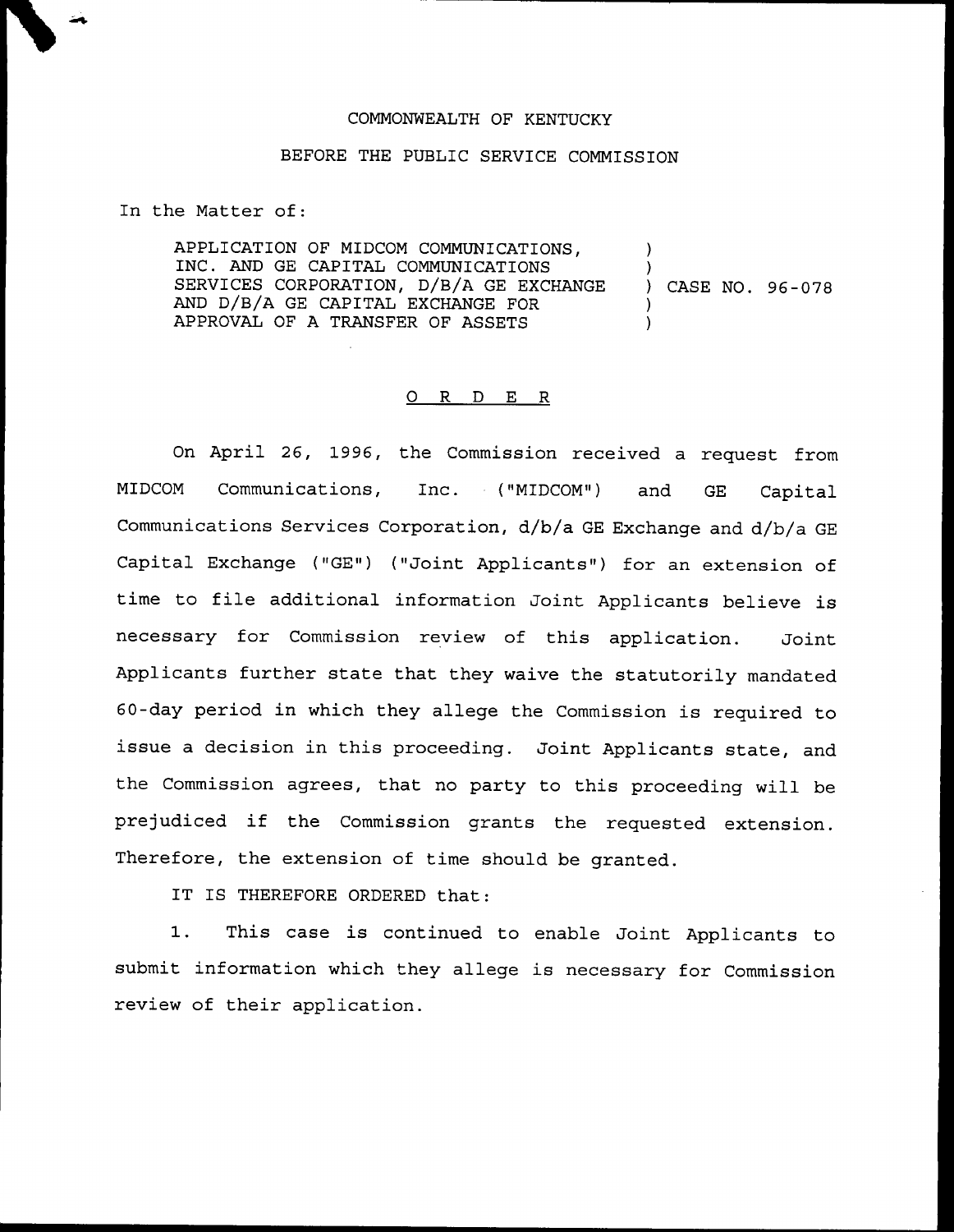## COMMONWEALTH QF KENTUCKY

## BEFORE THE PUBLIC SERVICE COMMISSION

In the Matter of:

APPLICATION OF MIDCOM COMMUN1CATIONS, INC. AND GE CAPITAL COMMUNICATIONS SERVICES CORPORATION, D/B/A GE EXCHANGE AND D/B/A GE CAPITAL EXCHANGE FOR APPROVAL OF A TRANSFER OF ASSETS ) ) ) CASE NO. 96-078 ) )

## ORDER

On April 26, 1996, the Commission received a request from MIDCOM Communications, Inc. ("MIDCOM") and GE Capital Communications Services Corporation, d/b/a GE Exchange and d/b/a GE Capital Exchange ("GE") ("Joint Applicants") for an extension of time to file additional information Joint Applicants believe is necessary for Commission review of this application. Joint Applicants further state that they waive the statutorily mandated 60-day period in which they allege the Commission is required to issue a decision in this proceeding. Joint Applicants state, and the Commission agrees, that no party to this proceeding will be prejudiced if the Commission grants the requested extension. Therefore, the extension of time should be granted.

IT IS THEREFORE ORDERED that:

1. This case is continued to enable Joint Applicants to submit information which they allege is necessary for Commission review of their application.